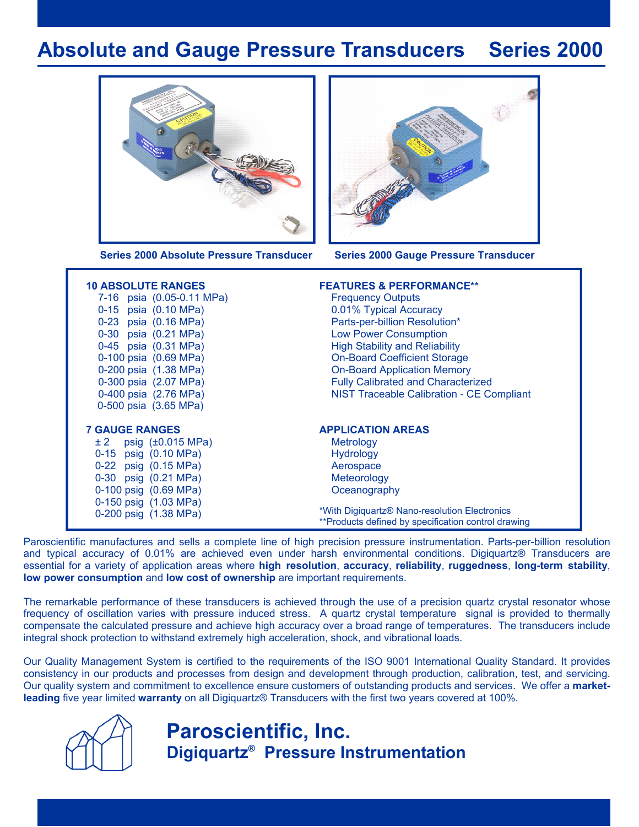## **Absolute and Gauge Pressure Transducers Series 2000**





**Series 2000 Absolute Pressure Transducer Series 2000 Gauge Pressure Transducer**

| <b>10 ABSOLUTE RANGES</b><br>7-16 psia (0.05-0.11 MPa)<br>0-15 psia (0.10 MPa)<br>0-23 psia (0.16 MPa)<br>0-30 psia (0.21 MPa)<br>0-45 psia (0.31 MPa)<br>0-100 psia (0.69 MPa)<br>0-200 psia (1.38 MPa)<br>0-300 psia (2.07 MPa)<br>0-400 psia (2.76 MPa)<br>0-500 psia (3.65 MPa) | <b>FEATURES &amp; PERFORMANCE**</b><br><b>Frequency Outputs</b><br>0.01% Typical Accuracy<br>Parts-per-billion Resolution*<br><b>Low Power Consumption</b><br><b>High Stability and Reliability</b><br><b>On-Board Coefficient Storage</b><br><b>On-Board Application Memory</b><br><b>Fully Calibrated and Characterized</b><br><b>NIST Traceable Calibration - CE Compliant</b> |
|-------------------------------------------------------------------------------------------------------------------------------------------------------------------------------------------------------------------------------------------------------------------------------------|-----------------------------------------------------------------------------------------------------------------------------------------------------------------------------------------------------------------------------------------------------------------------------------------------------------------------------------------------------------------------------------|
| <b>7 GAUGE RANGES</b>                                                                                                                                                                                                                                                               | <b>APPLICATION AREAS</b>                                                                                                                                                                                                                                                                                                                                                          |
| $\pm 2$ psig ( $\pm 0.015$ MPa)                                                                                                                                                                                                                                                     | Metrology                                                                                                                                                                                                                                                                                                                                                                         |
| 0-15 psig (0.10 MPa)                                                                                                                                                                                                                                                                | <b>Hydrology</b>                                                                                                                                                                                                                                                                                                                                                                  |
| 0-22 psig (0.15 MPa)                                                                                                                                                                                                                                                                | Aerospace                                                                                                                                                                                                                                                                                                                                                                         |
| 0-30 psig (0.21 MPa)                                                                                                                                                                                                                                                                | Meteorology                                                                                                                                                                                                                                                                                                                                                                       |
| 0-100 psig (0.69 MPa)                                                                                                                                                                                                                                                               | Oceanography                                                                                                                                                                                                                                                                                                                                                                      |
| 0-150 psig (1.03 MPa)                                                                                                                                                                                                                                                               | *With Digiquartz <sup>®</sup> Nano-resolution Electronics                                                                                                                                                                                                                                                                                                                         |
| 0-200 psig (1.38 MPa)                                                                                                                                                                                                                                                               | **Products defined by specification control drawing                                                                                                                                                                                                                                                                                                                               |

Paroscientific manufactures and sells a complete line of high precision pressure instrumentation. Parts-per-billion resolution and typical accuracy of 0.01% are achieved even under harsh environmental conditions. Digiquartz® Transducers are essential for a variety of application areas where **high resolution**, **accuracy**, **reliability**, **ruggedness**, **long-term stability**, **low power consumption** and **low cost of ownership** are important requirements.

The remarkable performance of these transducers is achieved through the use of a precision quartz crystal resonator whose frequency of oscillation varies with pressure induced stress. A quartz crystal temperature signal is provided to thermally compensate the calculated pressure and achieve high accuracy over a broad range of temperatures. The transducers include integral shock protection to withstand extremely high acceleration, shock, and vibrational loads.

Our Quality Management System is certified to the requirements of the ISO 9001 International Quality Standard. It provides consistency in our products and processes from design and development through production, calibration, test, and servicing. Our quality system and commitment to excellence ensure customers of outstanding products and services. We offer a **marketleading** five year limited **warranty** on all Digiquartz® Transducers with the first two years covered at 100%.



## **Paroscientific, Inc. Digiquartz® Pressure Instrumentation**